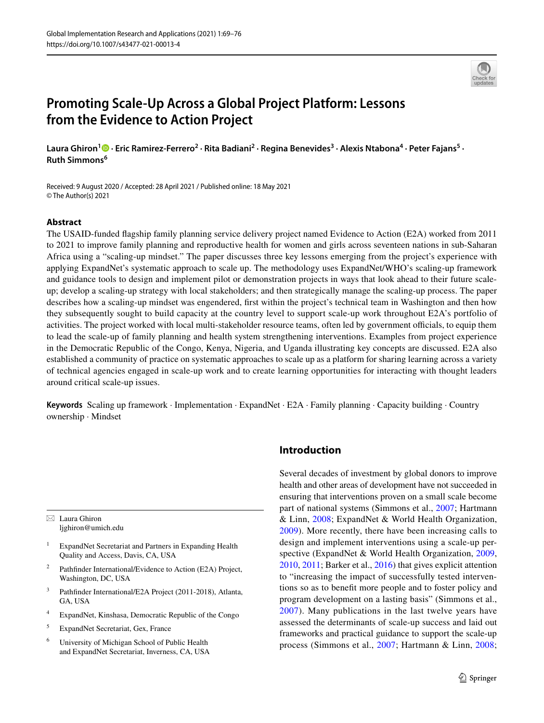

# **Promoting Scale‑Up Across a Global Project Platform: Lessons from the Evidence to Action Project**

**Laura Ghiron<sup>1</sup>  [·](http://orcid.org/0000-0002-7473-2883) Eric Ramirez‑Ferrero<sup>2</sup> · Rita Badiani<sup>2</sup> · Regina Benevides<sup>3</sup> · Alexis Ntabona<sup>4</sup> · Peter Fajans<sup>5</sup> · Ruth Simmons<sup>6</sup>**

Received: 9 August 2020 / Accepted: 28 April 2021 / Published online: 18 May 2021 © The Author(s) 2021

#### **Abstract**

The USAID-funded flagship family planning service delivery project named Evidence to Action (E2A) worked from 2011 to 2021 to improve family planning and reproductive health for women and girls across seventeen nations in sub-Saharan Africa using a "scaling-up mindset." The paper discusses three key lessons emerging from the project's experience with applying ExpandNet's systematic approach to scale up. The methodology uses ExpandNet/WHO's scaling-up framework and guidance tools to design and implement pilot or demonstration projects in ways that look ahead to their future scaleup; develop a scaling-up strategy with local stakeholders; and then strategically manage the scaling-up process. The paper describes how a scaling-up mindset was engendered, first within the project's technical team in Washington and then how they subsequently sought to build capacity at the country level to support scale-up work throughout E2A's portfolio of activities. The project worked with local multi-stakeholder resource teams, often led by government officials, to equip them to lead the scale-up of family planning and health system strengthening interventions. Examples from project experience in the Democratic Republic of the Congo, Kenya, Nigeria, and Uganda illustrating key concepts are discussed. E2A also established a community of practice on systematic approaches to scale up as a platform for sharing learning across a variety of technical agencies engaged in scale-up work and to create learning opportunities for interacting with thought leaders around critical scale-up issues.

**Keywords** Scaling up framework · Implementation · ExpandNet · E2A · Family planning · Capacity building · Country ownership · Mindset

 $\boxtimes$  Laura Ghiron ljghiron@umich.edu

- 1 ExpandNet Secretariat and Partners in Expanding Health Quality and Access, Davis, CA, USA
- 2 Pathfinder International/Evidence to Action (E2A) Project, Washington, DC, USA
- 3 Pathfinder International/E2A Project (2011-2018), Atlanta, GA, USA
- 4 ExpandNet, Kinshasa, Democratic Republic of the Congo
- 5 ExpandNet Secretariat, Gex, France
- 6 University of Michigan School of Public Health and ExpandNet Secretariat, Inverness, CA, USA

# **Introduction**

Several decades of investment by global donors to improve health and other areas of development have not succeeded in ensuring that interventions proven on a small scale become part of national systems (Simmons et al., [2007;](#page-7-0) Hartmann & Linn, [2008;](#page-7-1) ExpandNet & World Health Organization, [2009\)](#page-6-0). More recently, there have been increasing calls to design and implement interventions using a scale-up per-spective (ExpandNet & World Health Organization, [2009,](#page-6-0) [2010](#page-6-1), [2011](#page-7-2); Barker et al., [2016](#page-6-2)) that gives explicit attention to "increasing the impact of successfully tested interventions so as to benefit more people and to foster policy and program development on a lasting basis" (Simmons et al., [2007](#page-7-0)). Many publications in the last twelve years have assessed the determinants of scale-up success and laid out frameworks and practical guidance to support the scale-up process (Simmons et al., [2007](#page-7-0); Hartmann & Linn, [2008](#page-7-1);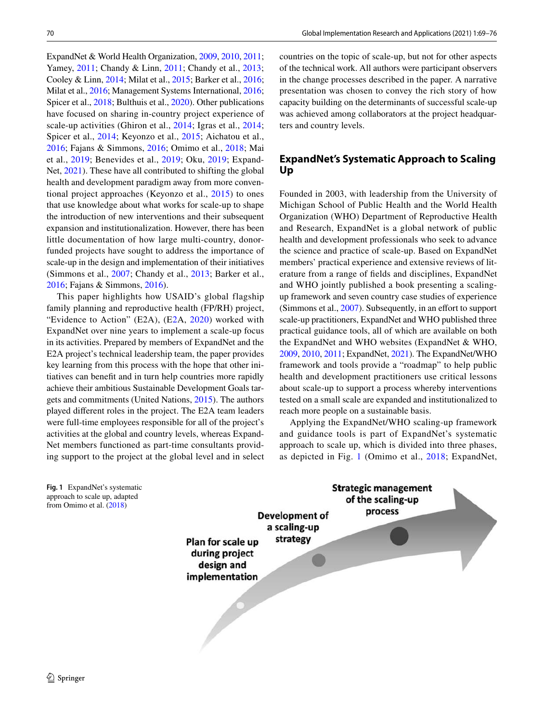ExpandNet & World Health Organization, [2009,](#page-6-0) [2010](#page-6-1), [2011](#page-7-2); Yamey, [2011;](#page-7-3) Chandy & Linn, [2011](#page-6-3); Chandy et al., [2013](#page-6-4); Cooley & Linn, [2014;](#page-6-5) Milat et al., [2015](#page-7-4); Barker et al., [2016](#page-6-2); Milat et al., [2016;](#page-7-5) Management Systems International, [2016](#page-7-6); Spicer et al., [2018](#page-7-7); Bulthuis et al., [2020](#page-6-6)). Other publications have focused on sharing in-country project experience of scale-up activities (Ghiron et al., [2014](#page-7-8); Igras et al., [2014](#page-7-9); Spicer et al., [2014](#page-7-10); Keyonzo et al., [2015;](#page-7-11) Aichatou et al., [2016](#page-6-7); Fajans & Simmons, [2016](#page-7-12); Omimo et al., [2018](#page-7-13); Mai et al., [2019](#page-7-14); Benevides et al., [2019;](#page-6-8) Oku, [2019](#page-7-15); Expand-Net, [2021](#page-7-16)). These have all contributed to shifting the global health and development paradigm away from more conventional project approaches (Keyonzo et al., [2015](#page-7-11)) to ones that use knowledge about what works for scale-up to shape the introduction of new interventions and their subsequent expansion and institutionalization. However, there has been little documentation of how large multi-country, donorfunded projects have sought to address the importance of scale-up in the design and implementation of their initiatives (Simmons et al., [2007;](#page-7-0) Chandy et al., [2013;](#page-6-4) Barker et al., [2016](#page-6-2); Fajans & Simmons, [2016\)](#page-7-12).

This paper highlights how USAID's global flagship family planning and reproductive health (FP/RH) project, "Evidence to Action" (E2A), (E[2](#page-6-9)A, [2020\)](#page-6-9) worked with ExpandNet over nine years to implement a scale-up focus in its activities. Prepared by members of ExpandNet and the E2A project's technical leadership team, the paper provides key learning from this process with the hope that other initiatives can benefit and in turn help countries more rapidly achieve their ambitious Sustainable Development Goals targets and commitments (United Nations, [2015](#page-7-17)). The authors played different roles in the project. The E2A team leaders were full-time employees responsible for all of the project's activities at the global and country levels, whereas Expand-Net members functioned as part-time consultants providing support to the project at the global level and in select countries on the topic of scale-up, but not for other aspects of the technical work. All authors were participant observers in the change processes described in the paper. A narrative presentation was chosen to convey the rich story of how capacity building on the determinants of successful scale-up was achieved among collaborators at the project headquarters and country levels.

# **ExpandNet's Systematic Approach to Scaling Up**

Founded in 2003, with leadership from the University of Michigan School of Public Health and the World Health Organization (WHO) Department of Reproductive Health and Research, ExpandNet is a global network of public health and development professionals who seek to advance the science and practice of scale-up. Based on ExpandNet members' practical experience and extensive reviews of literature from a range of fields and disciplines, ExpandNet and WHO jointly published a book presenting a scalingup framework and seven country case studies of experience (Simmons et al., [2007\)](#page-7-0). Subsequently, in an effort to support scale-up practitioners, ExpandNet and WHO published three practical guidance tools, all of which are available on both the ExpandNet and WHO websites (ExpandNet & WHO, [2009,](#page-6-0) [2010](#page-6-1), [2011;](#page-7-2) ExpandNet, [2021](#page-7-16)). The ExpandNet/WHO framework and tools provide a "roadmap" to help public health and development practitioners use critical lessons about scale-up to support a process whereby interventions tested on a small scale are expanded and institutionalized to reach more people on a sustainable basis.

Applying the ExpandNet/WHO scaling-up framework and guidance tools is part of ExpandNet's systematic approach to scale up, which is divided into three phases, as depicted in Fig. [1](#page-1-0) (Omimo et al., [2018](#page-7-13); ExpandNet,



<span id="page-1-0"></span>**Fig. 1** ExpandNet's systematic approach to scale up, adapted from Omimo et al. [\(2018](#page-7-13))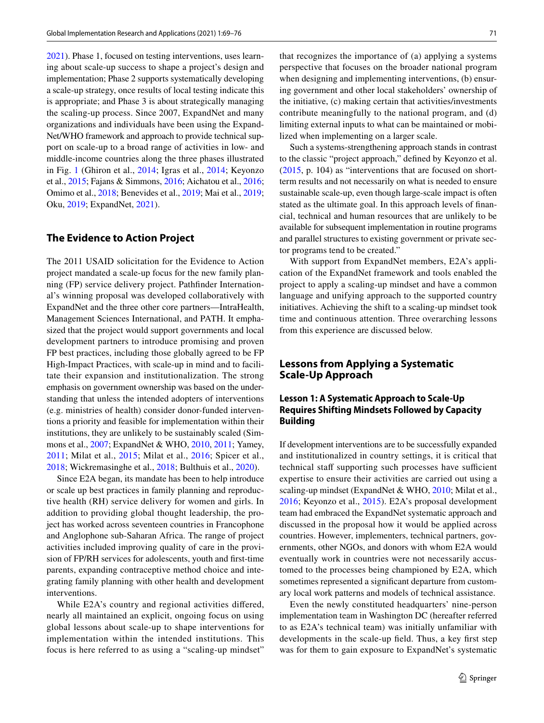[2021](#page-7-16)). Phase 1, focused on testing interventions, uses learning about scale-up success to shape a project's design and implementation; Phase 2 supports systematically developing a scale-up strategy, once results of local testing indicate this is appropriate; and Phase 3 is about strategically managing the scaling-up process. Since 2007, ExpandNet and many organizations and individuals have been using the Expand-Net/WHO framework and approach to provide technical support on scale-up to a broad range of activities in low- and middle-income countries along the three phases illustrated in Fig. [1](#page-1-0) (Ghiron et al., [2014](#page-7-8); Igras et al., [2014;](#page-7-9) Keyonzo et al., [2015](#page-7-11); Fajans & Simmons, [2016](#page-7-12); Aichatou et al., [2016](#page-6-7); Omimo et al., [2018](#page-7-13); Benevides et al., [2019](#page-6-8); Mai et al., [2019](#page-7-14); Oku, [2019;](#page-7-15) ExpandNet, [2021](#page-7-16)).

## **The Evidence to Action Project**

The 2011 USAID solicitation for the Evidence to Action project mandated a scale-up focus for the new family planning (FP) service delivery project. Pathfinder International's winning proposal was developed collaboratively with ExpandNet and the three other core partners—IntraHealth, Management Sciences International, and PATH. It emphasized that the project would support governments and local development partners to introduce promising and proven FP best practices, including those globally agreed to be FP High-Impact Practices, with scale-up in mind and to facilitate their expansion and institutionalization. The strong emphasis on government ownership was based on the understanding that unless the intended adopters of interventions (e.g. ministries of health) consider donor-funded interventions a priority and feasible for implementation within their institutions, they are unlikely to be sustainably scaled (Simmons et al., [2007;](#page-7-0) ExpandNet & WHO, [2010,](#page-6-1) [2011](#page-7-2); Yamey, [2011;](#page-7-3) Milat et al., [2015;](#page-7-4) Milat et al., [2016;](#page-7-5) Spicer et al., [2018](#page-7-7); Wickremasinghe et al., [2018;](#page-7-18) Bulthuis et al., [2020](#page-6-6)).

Since E2A began, its mandate has been to help introduce or scale up best practices in family planning and reproductive health (RH) service delivery for women and girls. In addition to providing global thought leadership, the project has worked across seventeen countries in Francophone and Anglophone sub-Saharan Africa. The range of project activities included improving quality of care in the provision of FP/RH services for adolescents, youth and first-time parents, expanding contraceptive method choice and integrating family planning with other health and development interventions.

While E2A's country and regional activities differed, nearly all maintained an explicit, ongoing focus on using global lessons about scale-up to shape interventions for implementation within the intended institutions. This focus is here referred to as using a "scaling-up mindset"

that recognizes the importance of (a) applying a systems perspective that focuses on the broader national program when designing and implementing interventions, (b) ensuring government and other local stakeholders' ownership of the initiative, (c) making certain that activities/investments contribute meaningfully to the national program, and (d) limiting external inputs to what can be maintained or mobilized when implementing on a larger scale.

Such a systems-strengthening approach stands in contrast to the classic "project approach," defined by Keyonzo et al. ([2015,](#page-7-11) p. 104) as "interventions that are focused on shortterm results and not necessarily on what is needed to ensure sustainable scale-up, even though large-scale impact is often stated as the ultimate goal. In this approach levels of financial, technical and human resources that are unlikely to be available for subsequent implementation in routine programs and parallel structures to existing government or private sector programs tend to be created."

With support from ExpandNet members, E2A's application of the ExpandNet framework and tools enabled the project to apply a scaling-up mindset and have a common language and unifying approach to the supported country initiatives. Achieving the shift to a scaling-up mindset took time and continuous attention. Three overarching lessons from this experience are discussed below.

# **Lessons from Applying a Systematic Scale‑Up Approach**

## **Lesson 1: A Systematic Approach to Scale‑Up Requires Shifting Mindsets Followed by Capacity Building**

If development interventions are to be successfully expanded and institutionalized in country settings, it is critical that technical staff supporting such processes have sufficient expertise to ensure their activities are carried out using a scaling-up mindset (ExpandNet & WHO, [2010](#page-6-1); Milat et al., [2016;](#page-7-5) Keyonzo et al., [2015](#page-7-11)). E2A's proposal development team had embraced the ExpandNet systematic approach and discussed in the proposal how it would be applied across countries. However, implementers, technical partners, governments, other NGOs, and donors with whom E2A would eventually work in countries were not necessarily accustomed to the processes being championed by E2A, which sometimes represented a significant departure from customary local work patterns and models of technical assistance.

Even the newly constituted headquarters' nine-person implementation team in Washington DC (hereafter referred to as E2A's technical team) was initially unfamiliar with developments in the scale-up field. Thus, a key first step was for them to gain exposure to ExpandNet's systematic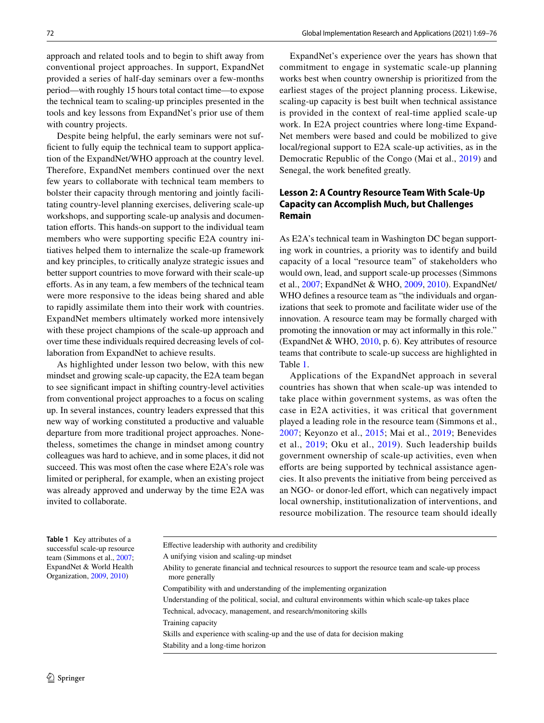approach and related tools and to begin to shift away from conventional project approaches. In support, ExpandNet provided a series of half-day seminars over a few-months period—with roughly 15 hours total contact time—to expose the technical team to scaling-up principles presented in the tools and key lessons from ExpandNet's prior use of them with country projects.

Despite being helpful, the early seminars were not sufficient to fully equip the technical team to support application of the ExpandNet/WHO approach at the country level. Therefore, ExpandNet members continued over the next few years to collaborate with technical team members to bolster their capacity through mentoring and jointly facilitating country-level planning exercises, delivering scale-up workshops, and supporting scale-up analysis and documentation efforts. This hands-on support to the individual team members who were supporting specific E2A country initiatives helped them to internalize the scale-up framework and key principles, to critically analyze strategic issues and better support countries to move forward with their scale-up efforts. As in any team, a few members of the technical team were more responsive to the ideas being shared and able to rapidly assimilate them into their work with countries. ExpandNet members ultimately worked more intensively with these project champions of the scale-up approach and over time these individuals required decreasing levels of collaboration from ExpandNet to achieve results.

As highlighted under lesson two below, with this new mindset and growing scale-up capacity, the E2A team began to see significant impact in shifting country-level activities from conventional project approaches to a focus on scaling up. In several instances, country leaders expressed that this new way of working constituted a productive and valuable departure from more traditional project approaches. Nonetheless, sometimes the change in mindset among country colleagues was hard to achieve, and in some places, it did not succeed. This was most often the case where E2A's role was limited or peripheral, for example, when an existing project was already approved and underway by the time E2A was invited to collaborate.

ExpandNet's experience over the years has shown that commitment to engage in systematic scale-up planning works best when country ownership is prioritized from the earliest stages of the project planning process. Likewise, scaling-up capacity is best built when technical assistance is provided in the context of real-time applied scale-up work. In E2A project countries where long-time Expand-Net members were based and could be mobilized to give local/regional support to E2A scale-up activities, as in the Democratic Republic of the Congo (Mai et al., [2019](#page-7-14)) and Senegal, the work benefited greatly.

## **Lesson 2: A Country Resource Team With Scale‑Up Capacity can Accomplish Much, but Challenges Remain**

As E2A's technical team in Washington DC began supporting work in countries, a priority was to identify and build capacity of a local "resource team" of stakeholders who would own, lead, and support scale-up processes (Simmons et al., [2007;](#page-7-0) ExpandNet & WHO, [2009,](#page-6-0) [2010\)](#page-6-1). ExpandNet/ WHO defines a resource team as "the individuals and organizations that seek to promote and facilitate wider use of the innovation. A resource team may be formally charged with promoting the innovation or may act informally in this role." (ExpandNet & WHO, [2010,](#page-6-1) p. 6). Key attributes of resource teams that contribute to scale-up success are highlighted in Table [1](#page-3-0).

Applications of the ExpandNet approach in several countries has shown that when scale-up was intended to take place within government systems, as was often the case in E2A activities, it was critical that government played a leading role in the resource team (Simmons et al., [2007](#page-7-0); Keyonzo et al., [2015](#page-7-11); Mai et al., [2019;](#page-7-14) Benevides et al., [2019](#page-6-8); Oku et al., [2019\)](#page-7-15). Such leadership builds government ownership of scale-up activities, even when efforts are being supported by technical assistance agencies. It also prevents the initiative from being perceived as an NGO- or donor-led effort, which can negatively impact local ownership, institutionalization of interventions, and resource mobilization. The resource team should ideally

<span id="page-3-0"></span>

| Table 1 Key attributes of a<br>successful scale-up resource<br>team (Simmons et al., 2007;<br>ExpandNet & World Health<br>Organization, 2009, 2010) | Effective leadership with authority and credibility                                                                       |
|-----------------------------------------------------------------------------------------------------------------------------------------------------|---------------------------------------------------------------------------------------------------------------------------|
|                                                                                                                                                     | A unifying vision and scaling-up mindset                                                                                  |
|                                                                                                                                                     | Ability to generate financial and technical resources to support the resource team and scale-up process<br>more generally |
|                                                                                                                                                     | Compatibility with and understanding of the implementing organization                                                     |
|                                                                                                                                                     | Understanding of the political, social, and cultural environments within which scale-up takes place                       |
|                                                                                                                                                     | Technical, advocacy, management, and research/monitoring skills                                                           |
|                                                                                                                                                     | Training capacity                                                                                                         |
|                                                                                                                                                     |                                                                                                                           |

Skills and experience with scaling-up and the use of data for decision making Stability and a long-time horizon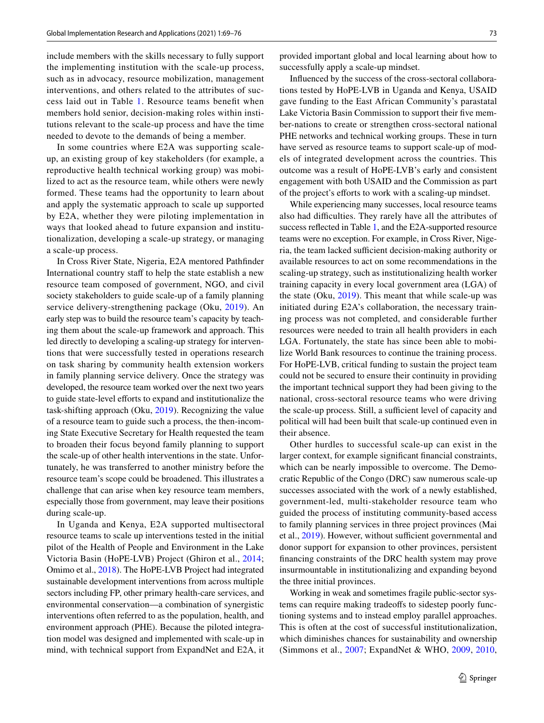include members with the skills necessary to fully support the implementing institution with the scale-up process, such as in advocacy, resource mobilization, management interventions, and others related to the attributes of success laid out in Table [1](#page-3-0). Resource teams benefit when members hold senior, decision-making roles within institutions relevant to the scale-up process and have the time needed to devote to the demands of being a member.

In some countries where E2A was supporting scaleup, an existing group of key stakeholders (for example, a reproductive health technical working group) was mobilized to act as the resource team, while others were newly formed. These teams had the opportunity to learn about and apply the systematic approach to scale up supported by E2A, whether they were piloting implementation in ways that looked ahead to future expansion and institutionalization, developing a scale-up strategy, or managing a scale-up process.

In Cross River State, Nigeria, E2A mentored Pathfinder International country staff to help the state establish a new resource team composed of government, NGO, and civil society stakeholders to guide scale-up of a family planning service delivery-strengthening package (Oku, [2019](#page-7-15)). An early step was to build the resource team's capacity by teaching them about the scale-up framework and approach. This led directly to developing a scaling-up strategy for interventions that were successfully tested in operations research on task sharing by community health extension workers in family planning service delivery. Once the strategy was developed, the resource team worked over the next two years to guide state-level efforts to expand and institutionalize the task-shifting approach (Oku, [2019\)](#page-7-15). Recognizing the value of a resource team to guide such a process, the then-incoming State Executive Secretary for Health requested the team to broaden their focus beyond family planning to support the scale-up of other health interventions in the state. Unfortunately, he was transferred to another ministry before the resource team's scope could be broadened. This illustrates a challenge that can arise when key resource team members, especially those from government, may leave their positions during scale-up.

In Uganda and Kenya, E2A supported multisectoral resource teams to scale up interventions tested in the initial pilot of the Health of People and Environment in the Lake Victoria Basin (HoPE-LVB) Project (Ghiron et al., [2014](#page-7-8); Omimo et al., [2018\)](#page-7-13). The HoPE-LVB Project had integrated sustainable development interventions from across multiple sectors including FP, other primary health-care services, and environmental conservation—a combination of synergistic interventions often referred to as the population, health, and environment approach (PHE). Because the piloted integration model was designed and implemented with scale-up in mind, with technical support from ExpandNet and E2A, it provided important global and local learning about how to successfully apply a scale-up mindset.

Influenced by the success of the cross-sectoral collaborations tested by HoPE-LVB in Uganda and Kenya, USAID gave funding to the East African Community's parastatal Lake Victoria Basin Commission to support their five member-nations to create or strengthen cross-sectoral national PHE networks and technical working groups. These in turn have served as resource teams to support scale-up of models of integrated development across the countries. This outcome was a result of HoPE-LVB's early and consistent engagement with both USAID and the Commission as part of the project's efforts to work with a scaling-up mindset.

While experiencing many successes, local resource teams also had difficulties. They rarely have all the attributes of success reflected in Table [1,](#page-3-0) and the E2A-supported resource teams were no exception. For example, in Cross River, Nigeria, the team lacked sufficient decision-making authority or available resources to act on some recommendations in the scaling-up strategy, such as institutionalizing health worker training capacity in every local government area (LGA) of the state (Oku, [2019](#page-7-15)). This meant that while scale-up was initiated during E2A's collaboration, the necessary training process was not completed, and considerable further resources were needed to train all health providers in each LGA. Fortunately, the state has since been able to mobilize World Bank resources to continue the training process. For HoPE-LVB, critical funding to sustain the project team could not be secured to ensure their continuity in providing the important technical support they had been giving to the national, cross-sectoral resource teams who were driving the scale-up process. Still, a sufficient level of capacity and political will had been built that scale-up continued even in their absence.

Other hurdles to successful scale-up can exist in the larger context, for example significant financial constraints, which can be nearly impossible to overcome. The Democratic Republic of the Congo (DRC) saw numerous scale-up successes associated with the work of a newly established, government-led, multi-stakeholder resource team who guided the process of instituting community-based access to family planning services in three project provinces (Mai et al., [2019\)](#page-7-14). However, without sufficient governmental and donor support for expansion to other provinces, persistent financing constraints of the DRC health system may prove insurmountable in institutionalizing and expanding beyond the three initial provinces.

Working in weak and sometimes fragile public-sector systems can require making tradeoffs to sidestep poorly functioning systems and to instead employ parallel approaches. This is often at the cost of successful institutionalization, which diminishes chances for sustainability and ownership (Simmons et al., [2007;](#page-7-0) ExpandNet & WHO, [2009](#page-6-0), [2010,](#page-6-1)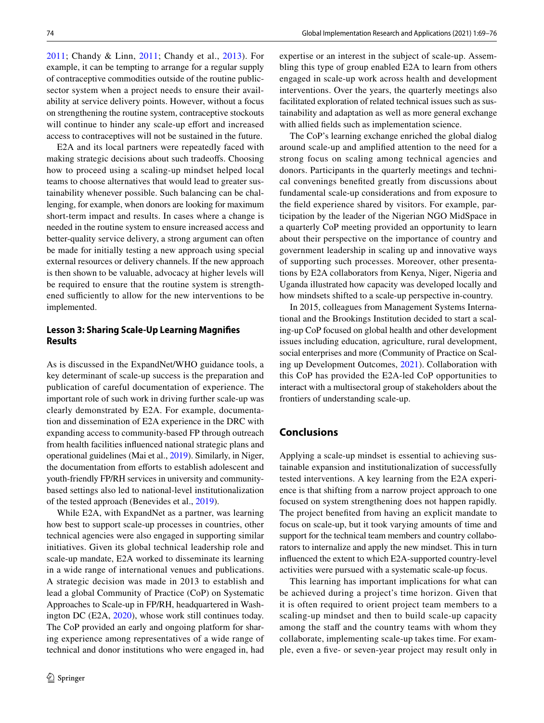[2011;](#page-7-2) Chandy & Linn, [2011](#page-6-3); Chandy et al., [2013\)](#page-6-4). For example, it can be tempting to arrange for a regular supply of contraceptive commodities outside of the routine publicsector system when a project needs to ensure their availability at service delivery points. However, without a focus on strengthening the routine system, contraceptive stockouts will continue to hinder any scale-up effort and increased access to contraceptives will not be sustained in the future.

E2A and its local partners were repeatedly faced with making strategic decisions about such tradeoffs. Choosing how to proceed using a scaling-up mindset helped local teams to choose alternatives that would lead to greater sustainability whenever possible. Such balancing can be challenging, for example, when donors are looking for maximum short-term impact and results. In cases where a change is needed in the routine system to ensure increased access and better-quality service delivery, a strong argument can often be made for initially testing a new approach using special external resources or delivery channels. If the new approach is then shown to be valuable, advocacy at higher levels will be required to ensure that the routine system is strengthened sufficiently to allow for the new interventions to be implemented.

#### **Lesson 3: Sharing Scale‑Up Learning Magnifies Results**

As is discussed in the ExpandNet/WHO guidance tools, a key determinant of scale-up success is the preparation and publication of careful documentation of experience. The important role of such work in driving further scale-up was clearly demonstrated by E2A. For example, documentation and dissemination of E2A experience in the DRC with expanding access to community-based FP through outreach from health facilities influenced national strategic plans and operational guidelines (Mai et al., [2019\)](#page-7-14). Similarly, in Niger, the documentation from efforts to establish adolescent and youth-friendly FP/RH services in university and communitybased settings also led to national-level institutionalization of the tested approach (Benevides et al., [2019](#page-6-8)).

While E2A, with ExpandNet as a partner, was learning how best to support scale-up processes in countries, other technical agencies were also engaged in supporting similar initiatives. Given its global technical leadership role and scale-up mandate, E2A worked to disseminate its learning in a wide range of international venues and publications. A strategic decision was made in 2013 to establish and lead a global Community of Practice (CoP) on Systematic Approaches to Scale-up in FP/RH, headquartered in Washington DC (E2A, [2020](#page-6-9)), whose work still continues today. The CoP provided an early and ongoing platform for sharing experience among representatives of a wide range of technical and donor institutions who were engaged in, had expertise or an interest in the subject of scale-up. Assembling this type of group enabled E2A to learn from others engaged in scale-up work across health and development interventions. Over the years, the quarterly meetings also facilitated exploration of related technical issues such as sustainability and adaptation as well as more general exchange with allied fields such as implementation science.

The CoP's learning exchange enriched the global dialog around scale-up and amplified attention to the need for a strong focus on scaling among technical agencies and donors. Participants in the quarterly meetings and technical convenings benefited greatly from discussions about fundamental scale-up considerations and from exposure to the field experience shared by visitors. For example, participation by the leader of the Nigerian NGO MidSpace in a quarterly CoP meeting provided an opportunity to learn about their perspective on the importance of country and government leadership in scaling up and innovative ways of supporting such processes. Moreover, other presentations by E2A collaborators from Kenya, Niger, Nigeria and Uganda illustrated how capacity was developed locally and how mindsets shifted to a scale-up perspective in-country.

In 2015, colleagues from Management Systems International and the Brookings Institution decided to start a scaling-up CoP focused on global health and other development issues including education, agriculture, rural development, social enterprises and more (Community of Practice on Scaling up Development Outcomes, [2021\)](#page-6-10). Collaboration with this CoP has provided the E2A-led CoP opportunities to interact with a multisectoral group of stakeholders about the frontiers of understanding scale-up.

### **Conclusions**

Applying a scale-up mindset is essential to achieving sustainable expansion and institutionalization of successfully tested interventions. A key learning from the E2A experience is that shifting from a narrow project approach to one focused on system strengthening does not happen rapidly. The project benefited from having an explicit mandate to focus on scale-up, but it took varying amounts of time and support for the technical team members and country collaborators to internalize and apply the new mindset. This in turn influenced the extent to which E2A-supported country-level activities were pursued with a systematic scale-up focus.

This learning has important implications for what can be achieved during a project's time horizon. Given that it is often required to orient project team members to a scaling-up mindset and then to build scale-up capacity among the staff and the country teams with whom they collaborate, implementing scale-up takes time. For example, even a five- or seven-year project may result only in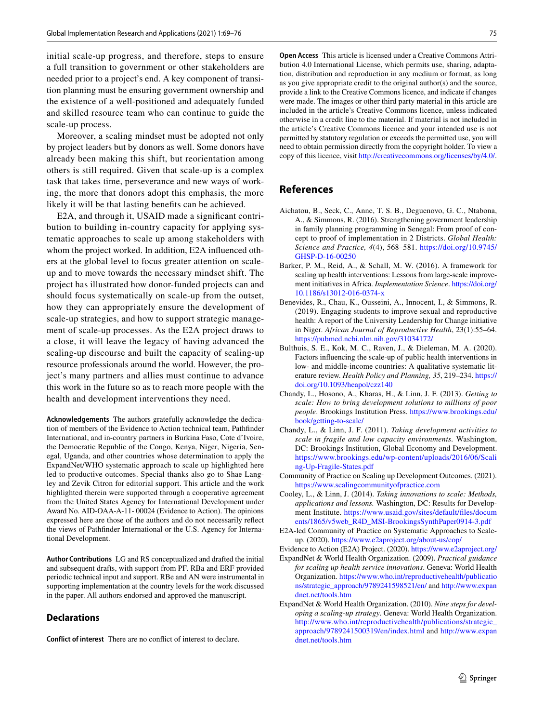initial scale-up progress, and therefore, steps to ensure a full transition to government or other stakeholders are needed prior to a project's end. A key component of transition planning must be ensuring government ownership and the existence of a well-positioned and adequately funded and skilled resource team who can continue to guide the scale-up process.

Moreover, a scaling mindset must be adopted not only by project leaders but by donors as well. Some donors have already been making this shift, but reorientation among others is still required. Given that scale-up is a complex task that takes time, perseverance and new ways of working, the more that donors adopt this emphasis, the more likely it will be that lasting benefits can be achieved.

E2A, and through it, USAID made a significant contribution to building in-country capacity for applying systematic approaches to scale up among stakeholders with whom the project worked. In addition, E2A influenced others at the global level to focus greater attention on scaleup and to move towards the necessary mindset shift. The project has illustrated how donor-funded projects can and should focus systematically on scale-up from the outset, how they can appropriately ensure the development of scale-up strategies, and how to support strategic management of scale-up processes. As the E2A project draws to a close, it will leave the legacy of having advanced the scaling-up discourse and built the capacity of scaling-up resource professionals around the world. However, the project's many partners and allies must continue to advance this work in the future so as to reach more people with the health and development interventions they need.

**Acknowledgements** The authors gratefully acknowledge the dedication of members of the Evidence to Action technical team, Pathfinder International, and in-country partners in Burkina Faso, Cote d'Ivoire, the Democratic Republic of the Congo, Kenya, Niger, Nigeria, Senegal, Uganda, and other countries whose determination to apply the ExpandNet/WHO systematic approach to scale up highlighted here led to productive outcomes. Special thanks also go to Shae Langley and Zevik Citron for editorial support. This article and the work highlighted therein were supported through a cooperative agreement from the United States Agency for International Development under Award No. AID-OAA-A-11- 00024 (Evidence to Action). The opinions expressed here are those of the authors and do not necessarily reflect the views of Pathfinder International or the U.S. Agency for International Development.

**Author Contributions** LG and RS conceptualized and drafted the initial and subsequent drafts, with support from PF. RBa and ERF provided periodic technical input and support. RBe and AN were instrumental in supporting implementation at the country levels for the work discussed in the paper. All authors endorsed and approved the manuscript.

#### **Declarations**

**Conflict of interest** There are no conflict of interest to declare.

**Open Access** This article is licensed under a Creative Commons Attribution 4.0 International License, which permits use, sharing, adaptation, distribution and reproduction in any medium or format, as long as you give appropriate credit to the original author(s) and the source, provide a link to the Creative Commons licence, and indicate if changes were made. The images or other third party material in this article are included in the article's Creative Commons licence, unless indicated otherwise in a credit line to the material. If material is not included in the article's Creative Commons licence and your intended use is not permitted by statutory regulation or exceeds the permitted use, you will need to obtain permission directly from the copyright holder. To view a copy of this licence, visit http://creativecommons.org/licenses/by/4.0/.

# **References**

- <span id="page-6-7"></span>Aichatou, B., Seck, C., Anne, T. S. B., Deguenovo, G. C., Ntabona, A., & Simmons, R. (2016). Strengthening government leadership in family planning programming in Senegal: From proof of concept to proof of implementation in 2 Districts. *Global Health: Science and Practice, 4*(4), 568–581. [https:// doi. org/ 10. 9745/](https://doi.org/10.9745/GHSP-D-16-00250) GHSP-D-16-00250
- <span id="page-6-2"></span>Barker, P. M., Reid, A., & Schall, M. W. (2016). A framework for scaling up health interventions: Lessons from large-scale improvement initiatives in Africa. *Implementation Science*. [https:// doi. org/](https://doi.org/10.1186/s13012-016-0374-x) 10.1186/s13012-016-0374-x
- <span id="page-6-8"></span>Benevides, R., Chau, K., Ousseini, A., Innocent, I., & Simmons, R. (2019). Engaging students to improve sexual and reproductive health: A report of the University Leadership for Change initiative in Niger. *African Journal of Reproductive Health*, 23(1):55–64. https://pubmed.ncbi.nlm.nih.gov/31034172/
- <span id="page-6-6"></span>Bulthuis, S. E., Kok, M. C., Raven, J., & Dieleman, M. A. (2020). Factors influencing the scale-up of public health interventions in low- and middle-income countries: A qualitative systematic literature review. *Health Policy and Planning, 35*, 219–234. [https://](https://doi.org/10.1093/heapol/czz140) doi.org/10.1093/heapol/czz140
- <span id="page-6-4"></span>Chandy, L., Hosono, A., Kharas, H., & Linn, J. F. (2013). *Getting to scale: How to bring development solutions to millions of poor people*. Brookings Institution Press. [https:// www. brook ings. edu/](https://www.brookings.edu/book/getting-to-scale/) book/getting-to-scale/
- <span id="page-6-3"></span>Chandy, L., & Linn, J. F. (2011). *Taking development activities to scale in fragile and low capacity environments.* Washington, DC: Brookings Institution, Global Economy and Development. https://www.brookings.edu/wp-content/uploads/2016/06/Scali ng-Up-Fragile-States.pdf
- <span id="page-6-10"></span>Community of Practice on Scaling up Development Outcomes. (2021). https://www.scaling.communityofpractice.com
- <span id="page-6-5"></span>Cooley, L., & Linn, J. (2014). *Taking innovations to scale: Methods, applications and lessons.* Washington, DC: Results for Development Institute. https://www.usaid.gov/sites/default/files/docum ents/1865/v5web\_R4D\_MSI-BrookingsSynthPaper0914-3.pdf
- E2A-led Community of Practice on Systematic Approaches to Scaleup. (2020). https://www.e2aproject.org/about-us/cop/
- <span id="page-6-9"></span>Evidence to Action (E2A) Project. (2020). https://www.e2aproject.org/
- <span id="page-6-0"></span>ExpandNet & World Health Organization. (2009). *Practical guidance for scaling up health service innovations*. Geneva: World Health Organization. https://www.who.int/reproductivehealth/publicatio ns/strategic\_approach/9789241598521/en/ and http://www.expan dnet.net/tools.htm
- <span id="page-6-1"></span>ExpandNet & World Health Organization. (2010). *Nine steps for developing a scaling-up strategy*. Geneva: World Health Organization. http://www.who.int/reproductivehealth/publications/strategic\_ approach/9789241500319/en/index.html and http://www.expan dnet.net/tools.htm